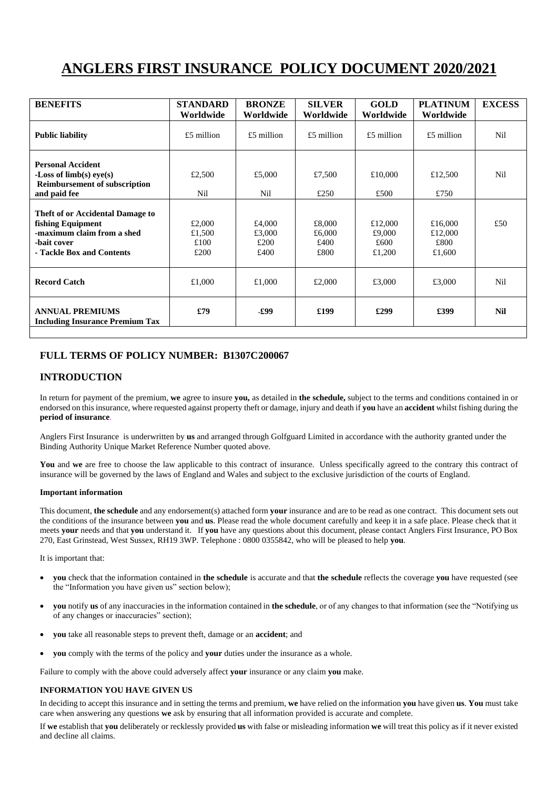# **ANGLERS FIRST INSURANCE POLICY DOCUMENT 2020/2021**

| <b>BENEFITS</b>                                                                                                                 | <b>STANDARD</b><br>Worldwide     | <b>BRONZE</b><br>Worldwide       | <b>SILVER</b><br>Worldwide       | <b>GOLD</b><br>Worldwide            | <b>PLATINUM</b><br>Worldwide         | <b>EXCESS</b> |
|---------------------------------------------------------------------------------------------------------------------------------|----------------------------------|----------------------------------|----------------------------------|-------------------------------------|--------------------------------------|---------------|
| <b>Public liability</b>                                                                                                         | $£5$ million                     | £5 million                       | $£5$ million                     | £5 million                          | $£5$ million                         | Nil           |
| <b>Personal Accident</b><br>-Loss of $limb(s)$ eye(s)<br><b>Reimbursement of subscription</b><br>and paid fee                   | £2,500<br>Nil                    | £5,000<br>Nil                    | £7,500<br>£250                   | £10,000<br>£500                     | £12,500<br>£750                      | Nil           |
| Theft of or Accidental Damage to<br>fishing Equipment<br>-maximum claim from a shed<br>-bait cover<br>- Tackle Box and Contents | £2,000<br>£1,500<br>£100<br>£200 | £4,000<br>£3,000<br>£200<br>£400 | £8,000<br>£6,000<br>£400<br>£800 | £12,000<br>£9,000<br>£600<br>£1,200 | £16,000<br>£12,000<br>£800<br>£1,600 | £50           |
| <b>Record Catch</b>                                                                                                             | £1,000                           | £1,000                           | £2,000                           | £3,000                              | £3,000                               | Nil           |
| <b>ANNUAL PREMIUMS</b><br><b>Including Insurance Premium Tax</b>                                                                | £79                              | £99                              | £199                             | £299                                | £399                                 | <b>Nil</b>    |

# **FULL TERMS OF POLICY NUMBER: B1307C200067**

# **INTRODUCTION**

In return for payment of the premium, **we** agree to insure **you,** as detailed in **the schedule,** subject to the terms and conditions contained in or endorsed on this insurance, where requested against property theft or damage, injury and death if **you** have an **accident** whilst fishing during the **period of insurance**.

Anglers First Insurance is underwritten by **us** and arranged through Golfguard Limited in accordance with the authority granted under the Binding Authority Unique Market Reference Number quoted above.

You and we are free to choose the law applicable to this contract of insurance. Unless specifically agreed to the contrary this contract of insurance will be governed by the laws of England and Wales and subject to the exclusive jurisdiction of the courts of England.

#### **Important information**

This document, **the schedule** and any endorsement(s) attached form **your** insurance and are to be read as one contract. This document sets out the conditions of the insurance between **you** and **us**. Please read the whole document carefully and keep it in a safe place. Please check that it meets **your** needs and that **you** understand it. If **you** have any questions about this document, please contact Anglers First Insurance, PO Box 270, East Grinstead, West Sussex, RH19 3WP. Telephone : 0800 0355842, who will be pleased to help **you**.

It is important that:

- **you** check that the information contained in **the schedule** is accurate and that **the schedule** reflects the coverage **you** have requested (see the "Information you have given us" section below);
- **you** notify **us** of any inaccuracies in the information contained in **the schedule**, or of any changes to that information (see the "Notifying us of any changes or inaccuracies" section);
- **you** take all reasonable steps to prevent theft, damage or an **accident**; and
- **you** comply with the terms of the policy and **your** duties under the insurance as a whole.

Failure to comply with the above could adversely affect **your** insurance or any claim **you** make.

## **INFORMATION YOU HAVE GIVEN US**

In deciding to accept this insurance and in setting the terms and premium, **we** have relied on the information **you** have given **us**. **You** must take care when answering any questions **we** ask by ensuring that all information provided is accurate and complete.

If **we** establish that **you** deliberately or recklessly provided **us** with false or misleading information **we** will treat this policy as if it never existed and decline all claims.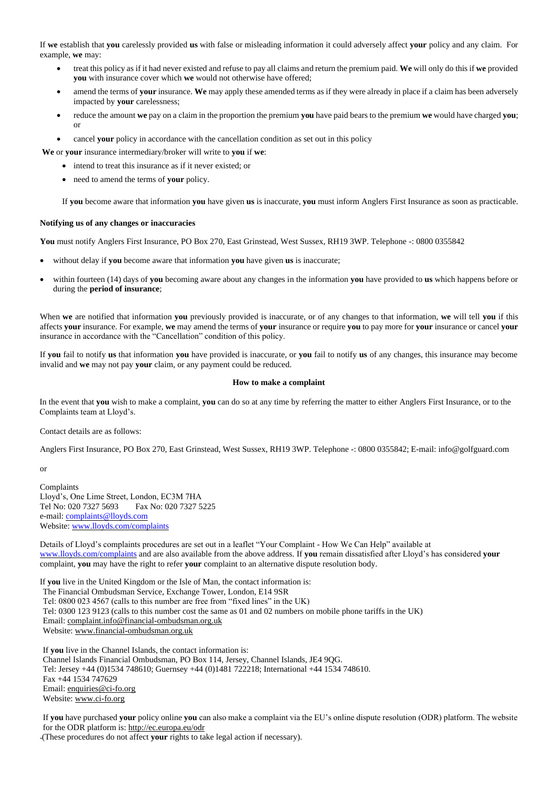If **we** establish that **you** carelessly provided **us** with false or misleading information it could adversely affect **your** policy and any claim. For example, **we** may:

- treat this policy as if it had never existed and refuse to pay all claims and return the premium paid. **We** will only do this if **we** provided **you** with insurance cover which **we** would not otherwise have offered;
- amend the terms of **your** insurance. **We** may apply these amended terms as if they were already in place if a claim has been adversely impacted by **your** carelessness;
- reduce the amount **we** pay on a claim in the proportion the premium **you** have paid bears to the premium **we** would have charged **you**; or
- cancel **your** policy in accordance with the cancellation condition as set out in this policy

**We** or **your** insurance intermediary/broker will write to **you** if **we**:

- intend to treat this insurance as if it never existed; or
- need to amend the terms of **your** policy.

If **you** become aware that information **you** have given **us** is inaccurate, **you** must inform Anglers First Insurance as soon as practicable.

#### **Notifying us of any changes or inaccuracies**

**You** must notify Anglers First Insurance, PO Box 270, East Grinstead, West Sussex, RH19 3WP. Telephone -: 0800 0355842

- without delay if **you** become aware that information **you** have given **us** is inaccurate;
- within fourteen (14) days of **you** becoming aware about any changes in the information **you** have provided to **us** which happens before or during the **period of insurance**;

When **we** are notified that information **you** previously provided is inaccurate, or of any changes to that information, **we** will tell **you** if this affects **your** insurance. For example, **we** may amend the terms of **your** insurance or require **you** to pay more for **your** insurance or cancel **your** insurance in accordance with the "Cancellation" condition of this policy.

If **you** fail to notify **us** that information **you** have provided is inaccurate, or **you** fail to notify **us** of any changes, this insurance may become invalid and **we** may not pay **your** claim, or any payment could be reduced.

#### **How to make a complaint**

 In the event that **you** wish to make a complaint, **you** can do so at any time by referring the matter to either Anglers First Insurance, or to the Complaints team at Lloyd's.

Contact details are as follows:

Anglers First Insurance, PO Box 270, East Grinstead, West Sussex, RH19 3WP. Telephone -: 0800 0355842; E-mail: info@golfguard.com

or

Complaints Lloyd's, One Lime Street, London, EC3M 7HA Tel No: 020 7327 5693 Fax No: 020 7327 5225 e-mail[: complaints@lloyds.com](mailto:complaints@lloyds.com) Website: [www.lloyds.com/complaints](http://www.lloyds.com/complaints)

Details of Lloyd's complaints procedures are set out in a leaflet "Your Complaint - How We Can Help" available at [www.lloyds.com/complaints](http://www.lloyds.com/complaints) and are also available from the above address. If **you** remain dissatisfied after Lloyd's has considered **your** complaint, **you** may have the right to refer **your** complaint to an alternative dispute resolution body.

If **you** live in the United Kingdom or the Isle of Man, the contact information is: The Financial Ombudsman Service, Exchange Tower, London, E14 9SR Tel: 0800 023 4567 (calls to this number are free from "fixed lines" in the UK) Tel: 0300 123 9123 (calls to this number cost the same as 01 and 02 numbers on mobile phone tariffs in the UK) Email: [complaint.info@financial-ombudsman.org.uk](mailto:complaint.info@financial-ombudsman.org.uk) Website: [www.financial-ombudsman.org.uk](http://www.financial-ombudsman.org.uk/)

If **you** live in the Channel Islands, the contact information is: Channel Islands Financial Ombudsman, PO Box 114, Jersey, Channel Islands, JE4 9QG. Tel: Jersey +44 (0)1534 748610; Guernsey +44 (0)1481 722218; International +44 1534 748610. Fax +44 1534 747629 Email: [enquiries@ci-fo.org](mailto:enquiries@ci-fo.org) Website: [www.ci-fo.org](http://www.ci-fo.org/)

If **you** have purchased **your** policy online **you** can also make a complaint via the EU's online dispute resolution (ODR) platform. The website for the ODR platform is:<http://ec.europa.eu/odr>

(These procedures do not affect **your** rights to take legal action if necessary).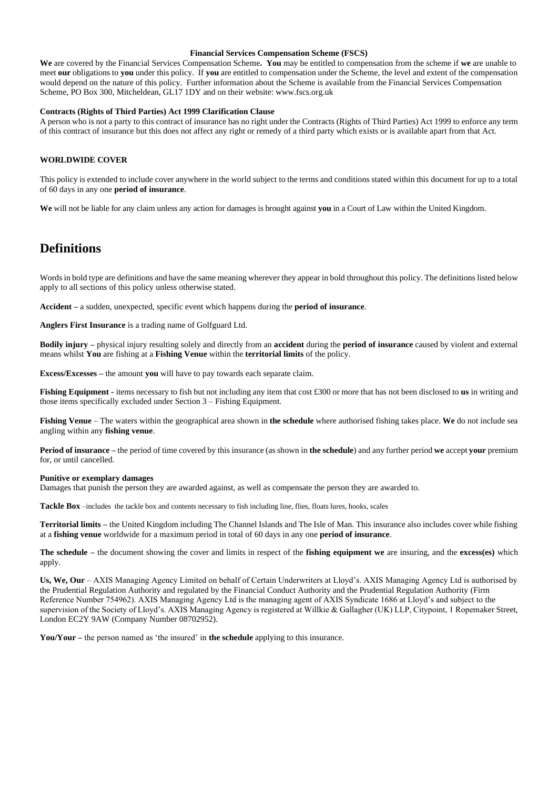#### **Financial Services Compensation Scheme (FSCS)**

**We** are covered by the Financial Services Compensation Scheme**. You** may be entitled to compensation from the scheme if **we** are unable to meet **our** obligations to **you** under this policy. If **you** are entitled to compensation under the Scheme, the level and extent of the compensation would depend on the nature of this policy. Further information about the Scheme is available from the Financial Services Compensation Scheme, PO Box 300, Mitcheldean, GL17 1DY and on their website: www.fscs.org.uk

#### **Contracts (Rights of Third Parties) Act 1999 Clarification Clause**

A person who is not a party to this contract of insurance has no right under the Contracts (Rights of Third Parties) Act 1999 to enforce any term of this contract of insurance but this does not affect any right or remedy of a third party which exists or is available apart from that Act.

## **WORLDWIDE COVER**

This policy is extended to include cover anywhere in the world subject to the terms and conditions stated within this document for up to a total of 60 days in any one **period of insurance**.

**We** will not be liable for any claim unless any action for damages is brought against **you** in a Court of Law within the United Kingdom.

# **Definitions**

Words in bold type are definitions and have the same meaning wherever they appear in bold throughout this policy. The definitions listed below apply to all sections of this policy unless otherwise stated.

**Accident –** a sudden, unexpected, specific event which happens during the **period of insurance**.

**Anglers First Insurance** is a trading name of Golfguard Ltd.

**Bodily injury –** physical injury resulting solely and directly from an **accident** during the **period of insurance** caused by violent and external means whilst **You** are fishing at a **Fishing Venue** within the **territorial limits** of the policy.

**Excess/Excesses –** the amount **you** will have to pay towards each separate claim.

**Fishing Equipment -** items necessary to fish but not including any item that cost £300 or more that has not been disclosed to **us** in writing and those items specifically excluded under Section 3 – Fishing Equipment.

**Fishing Venue** – The waters within the geographical area shown in **the schedule** where authorised fishing takes place. **We** do not include sea angling within any **fishing venue**.

**Period of insurance –** the period of time covered by this insurance (as shown in **the schedule**) and any further period **we** accept **your** premium for, or until cancelled.

#### **Punitive or exemplary damages**

Damages that punish the person they are awarded against, as well as compensate the person they are awarded to.

**Tackle Box** –includes the tackle box and contents necessary to fish including line, flies, floats lures, hooks, scales

**Territorial limits –** the United Kingdom including The Channel Islands and The Isle of Man. This insurance also includes cover while fishing at a **fishing venue** worldwide for a maximum period in total of 60 days in any one **period of insurance**.

**The schedule –** the document showing the cover and limits in respect of the **fishing equipment we** are insuring, and the **excess(es)** which apply.

**Us, We, Our** – AXIS Managing Agency Limited on behalf of Certain Underwriters at Lloyd's. AXIS Managing Agency Ltd is authorised by the Prudential Regulation Authority and regulated by the Financial Conduct Authority and the Prudential Regulation Authority (Firm Reference Number 754962). AXIS Managing Agency Ltd is the managing agent of AXIS Syndicate 1686 at Lloyd's and subject to the supervision of the Society of Lloyd's. AXIS Managing Agency is registered at Willkie & Gallagher (UK) LLP, Citypoint, 1 Ropemaker Street, London EC2Y 9AW (Company Number 08702952).

**You/Your –** the person named as 'the insured' in **the schedule** applying to this insurance.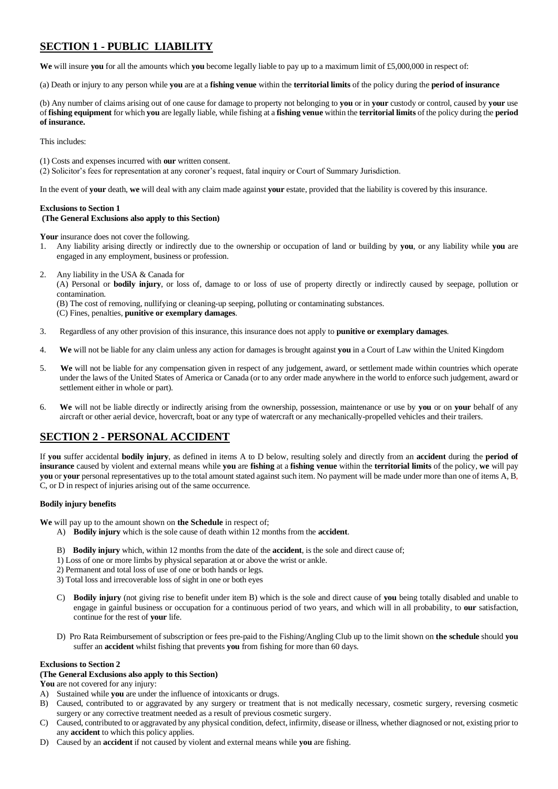# **SECTION 1 - PUBLIC LIABILITY**

**We** will insure **you** for all the amounts which **you** become legally liable to pay up to a maximum limit of £5,000,000 in respect of:

(a) Death or injury to any person while **you** are at a **fishing venue** within the **territorial limits** of the policy during the **period of insurance**

(b) Any number of claims arising out of one cause for damage to property not belonging to **you** or in **your** custody or control, caused by **your** use of **fishing equipment** for which **you** are legally liable, while fishing at a **fishing venue** within the **territorial limits** of the policy during the **period of insurance.**

This includes:

- (1) Costs and expenses incurred with **our** written consent.
- (2) Solicitor's fees for representation at any coroner's request, fatal inquiry or Court of Summary Jurisdiction.

In the event of **your** death, **we** will deal with any claim made against **your** estate, provided that the liability is covered by this insurance.

#### **Exclusions to Section 1 (The General Exclusions also apply to this Section)**

Your insurance does not cover the following.

- 1. Any liability arising directly or indirectly due to the ownership or occupation of land or building by **you**, or any liability while **you** are engaged in any employment, business or profession.
- 2. Any liability in the USA & Canada for

(A) Personal or **bodily injury**, or loss of, damage to or loss of use of property directly or indirectly caused by seepage, pollution or contamination.

(B) The cost of removing, nullifying or cleaning-up seeping, polluting or contaminating substances.

(C) Fines, penalties, **punitive or exemplary damages**.

- 3. Regardless of any other provision of this insurance, this insurance does not apply to **punitive or exemplary damages**.
- 4. **We** will not be liable for any claim unless any action for damages is brought against **you** in a Court of Law within the United Kingdom
- 5. **We** will not be liable for any compensation given in respect of any judgement, award, or settlement made within countries which operate under the laws of the United States of America or Canada (or to any order made anywhere in the world to enforce such judgement, award or settlement either in whole or part).
- 6. **We** will not be liable directly or indirectly arising from the ownership, possession, maintenance or use by **you** or on **your** behalf of any aircraft or other aerial device, hovercraft, boat or any type of watercraft or any mechanically-propelled vehicles and their trailers.

# **SECTION 2 - PERSONAL ACCIDENT**

If **you** suffer accidental **bodily injury**, as defined in items A to D below, resulting solely and directly from an **accident** during the **period of insurance** caused by violent and external means while **you** are **fishing** at a **fishing venue** within the **territorial limits** of the policy, **we** will pay **you** or **your** personal representatives up to the total amount stated against such item. No payment will be made under more than one of items A, B, C, or D in respect of injuries arising out of the same occurrence.

#### **Bodily injury benefits**

**We** will pay up to the amount shown on **the Schedule** in respect of;

- A) **Bodily injury** which is the sole cause of death within 12 months from the **accident**.
- B) **Bodily injury** which, within 12 months from the date of the **accident**, is the sole and direct cause of;
- 1) Loss of one or more limbs by physical separation at or above the wrist or ankle.
- 2) Permanent and total loss of use of one or both hands or legs.
- 3) Total loss and irrecoverable loss of sight in one or both eyes
- C) **Bodily injury** (not giving rise to benefit under item B) which is the sole and direct cause of **you** being totally disabled and unable to engage in gainful business or occupation for a continuous period of two years, and which will in all probability, to **our** satisfaction, continue for the rest of **your** life.
- D) Pro Rata Reimbursement of subscription or fees pre-paid to the Fishing/Angling Club up to the limit shown on **the schedule** should **you** suffer an **accident** whilst fishing that prevents **you** from fishing for more than 60 days.

#### **Exclusions to Section 2**

# **(The General Exclusions also apply to this Section)**

You are not covered for any injury:

- A) Sustained while **you** are under the influence of intoxicants or drugs.
- B) Caused, contributed to or aggravated by any surgery or treatment that is not medically necessary, cosmetic surgery, reversing cosmetic surgery or any corrective treatment needed as a result of previous cosmetic surgery.
- C) Caused, contributed to or aggravated by any physical condition, defect, infirmity, disease or illness, whether diagnosed or not, existing prior to any **accident** to which this policy applies.
- D) Caused by an **accident** if not caused by violent and external means while **you** are fishing.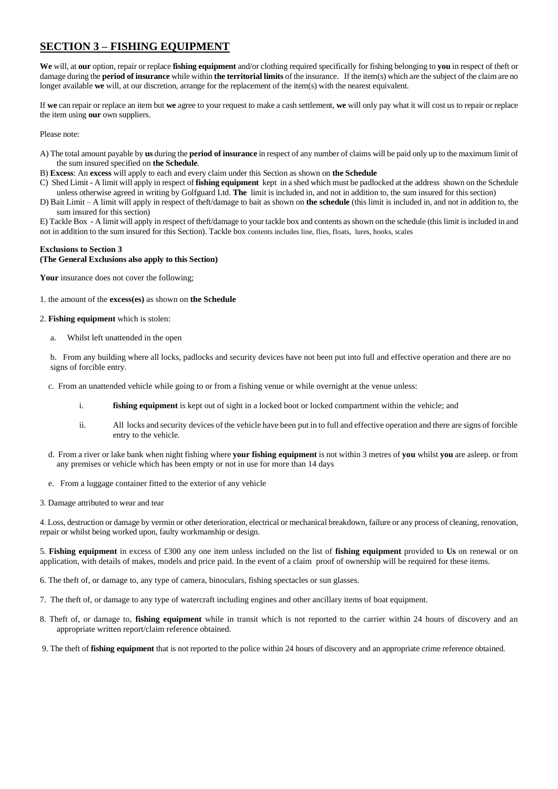# **SECTION 3 – FISHING EQUIPMENT**

**We** will, at **our** option, repair or replace **fishing equipment** and/or clothing required specifically for fishing belonging to **you** in respect of theft or damage during the **period of insurance** while within **the territorial limits** of the insurance. If the item(s) which are the subject of the claim are no longer available **we** will, at our discretion, arrange for the replacement of the item(s) with the nearest equivalent.

If **we** can repair or replace an item but **we** agree to your request to make a cash settlement, **we** will only pay what it will cost us to repair or replace the item using **our** own suppliers.

Please note:

- A) The total amount payable by **us** during the **period of insurance** in respect of any number of claims will be paid only up to the maximum limit of the sum insured specified on **the Schedule**.
- B) **Excess**: An **excess** will apply to each and every claim under this Section as shown on **the Schedule**
- C) Shed Limit A limit will apply in respect of **fishing equipment** kept in a shed which must be padlocked at the address shown on the Schedule unless otherwise agreed in writing by Golfguard Ltd. **The** limit is included in, and not in addition to, the sum insured for this section)
- D) Bait Limit A limit will apply in respect of theft/damage to bait as shown on **the schedule** (this limit is included in, and not in addition to, the sum insured for this section)

E) Tackle Box - A limit will apply in respect of theft/damage to your tackle box and contents as shown on the schedule (this limit is included in and not in addition to the sum insured for this Section). Tackle box contents includes line, flies, floats, lures, hooks, scales

#### **Exclusions to Section 3**

### **(The General Exclusions also apply to this Section)**

**Your** insurance does not cover the following;

1. the amount of the **excess(es)** as shown on **the Schedule**

#### 2. **Fishing equipment** which is stolen:

a. Whilst left unattended in the open

b. From any building where all locks, padlocks and security devices have not been put into full and effective operation and there are no signs of forcible entry.

- c. From an unattended vehicle while going to or from a fishing venue or while overnight at the venue unless:
	- i. **fishing equipment** is kept out of sight in a locked boot or locked compartment within the vehicle; and
	- ii. All locks and security devices of the vehicle have been put in to full and effective operation and there are signs of forcible entry to the vehicle.
- d. From a river or lake bank when night fishing where **your fishing equipment** is not within 3 metres of **you** whilst **you** are asleep. or from any premises or vehicle which has been empty or not in use for more than 14 days
- e. From a luggage container fitted to the exterior of any vehicle
- 3. Damage attributed to wear and tear

4. Loss, destruction or damage by vermin or other deterioration, electrical or mechanical breakdown, failure or any process of cleaning, renovation, repair or whilst being worked upon, faulty workmanship or design.

5. **Fishing equipment** in excess of £300 any one item unless included on the list of **fishing equipment** provided to **Us** on renewal or on application, with details of makes, models and price paid. In the event of a claim proof of ownership will be required for these items.

6. The theft of, or damage to, any type of camera, binoculars, fishing spectacles or sun glasses.

- 7. The theft of, or damage to any type of watercraft including engines and other ancillary items of boat equipment.
- 8. Theft of, or damage to, **fishing equipment** while in transit which is not reported to the carrier within 24 hours of discovery and an appropriate written report/claim reference obtained.

9. The theft of **fishing equipment** that is not reported to the police within 24 hours of discovery and an appropriate crime reference obtained.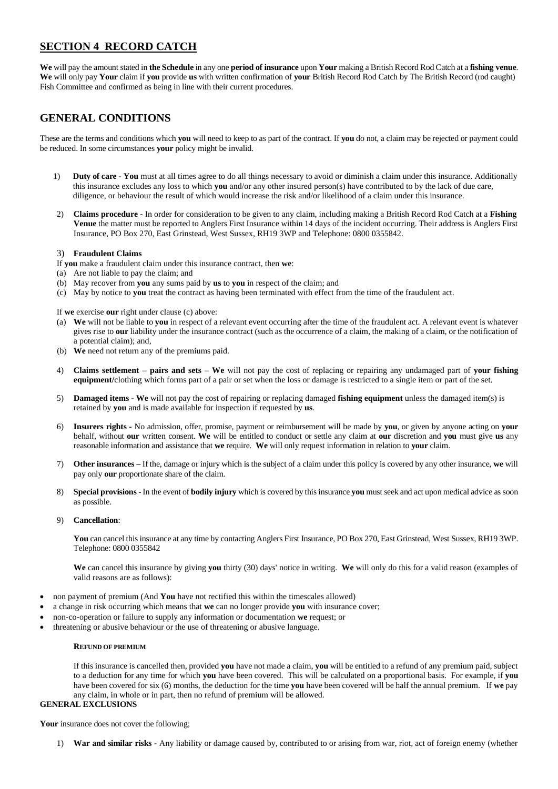# **SECTION 4 RECORD CATCH**

**We** will pay the amount stated in **the Schedule** in any one **period of insurance** upon **Your** making a British Record Rod Catch at a **fishing venue**. **We** will only pay **Your** claim if **you** provide **us** with written confirmation of **your** British Record Rod Catch by The British Record (rod caught) Fish Committee and confirmed as being in line with their current procedures.

# **GENERAL CONDITIONS**

These are the terms and conditions which **you** will need to keep to as part of the contract. If **you** do not, a claim may be rejected or payment could be reduced. In some circumstances **your** policy might be invalid.

- 1) **Duty of care - You** must at all times agree to do all things necessary to avoid or diminish a claim under this insurance. Additionally this insurance excludes any loss to which **you** and/or any other insured person(s) have contributed to by the lack of due care, diligence, or behaviour the result of which would increase the risk and/or likelihood of a claim under this insurance.
- 2) **Claims procedure -** In order for consideration to be given to any claim, including making a British Record Rod Catch at a **Fishing Venue** the matter must be reported to Anglers First Insurance within 14 days of the incident occurring. Their address is Anglers First Insurance, PO Box 270, East Grinstead, West Sussex, RH19 3WP and Telephone: 0800 0355842.

#### 3) **Fraudulent Claims**

If **you** make a fraudulent claim under this insurance contract, then **we**:

- (a) Are not liable to pay the claim; and
- (b) May recover from **you** any sums paid by **us** to **you** in respect of the claim; and
- (c) May by notice to **you** treat the contract as having been terminated with effect from the time of the fraudulent act.

If **we** exercise **our** right under clause (c) above:

- (a) **We** will not be liable to **you** in respect of a relevant event occurring after the time of the fraudulent act. A relevant event is whatever gives rise to **our** liability under the insurance contract (such as the occurrence of a claim, the making of a claim, or the notification of a potential claim); and,
- (b) **We** need not return any of the premiums paid.
- 4) **Claims settlement – pairs and sets – We** will not pay the cost of replacing or repairing any undamaged part of **your fishing equipment/**clothing which forms part of a pair or set when the loss or damage is restricted to a single item or part of the set.
- 5) **Damaged items - We** will not pay the cost of repairing or replacing damaged **fishing equipment** unless the damaged item(s) is retained by **you** and is made available for inspection if requested by **us**.
- 6) **Insurers rights -** No admission, offer, promise, payment or reimbursement will be made by **you**, or given by anyone acting on **your** behalf, without **our** written consent. **We** will be entitled to conduct or settle any claim at **our** discretion and **you** must give **us** any reasonable information and assistance that **we** require. **We** will only request information in relation to **your** claim.
- 7) **Other insurances –** If the, damage or injury which is the subject of a claim under this policy is covered by any other insurance, **we** will pay only **our** proportionate share of the claim.
- 8) **Special provisions** In the event of **bodily injury** which is covered by this insurance **you** must seek and act upon medical advice as soon as possible.

#### 9) **Cancellation**:

**You** can cancel this insurance at any time by contacting Anglers First Insurance, PO Box 270, East Grinstead, West Sussex, RH19 3WP. Telephone: 0800 0355842

**We** can cancel this insurance by giving **you** thirty (30) days' notice in writing. **We** will only do this for a valid reason (examples of valid reasons are as follows):

- non payment of premium (And **You** have not rectified this within the timescales allowed)
- a change in risk occurring which means that **we** can no longer provide **you** with insurance cover;
- non-co-operation or failure to supply any information or documentation **we** request; or
- threatening or abusive behaviour or the use of threatening or abusive language.

#### **REFUND OF PREMIUM**

If this insurance is cancelled then, provided **you** have not made a claim, **you** will be entitled to a refund of any premium paid, subject to a deduction for any time for which **you** have been covered. This will be calculated on a proportional basis. For example, if **you**  have been covered for six (6) months, the deduction for the time **you** have been covered will be half the annual premium. If **we** pay any claim, in whole or in part, then no refund of premium will be allowed.

#### **GENERAL EXCLUSIONS**

Your insurance does not cover the following;

1) **War and similar risks -** Any liability or damage caused by, contributed to or arising from war, riot, act of foreign enemy (whether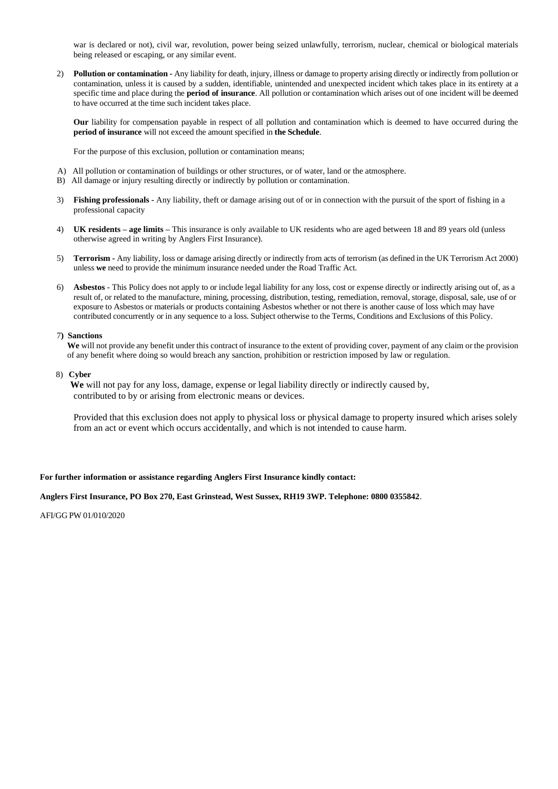war is declared or not), civil war, revolution, power being seized unlawfully, terrorism, nuclear, chemical or biological materials being released or escaping, or any similar event.

2) **Pollution or contamination -** Any liability for death, injury, illness or damage to property arising directly or indirectly from pollution or contamination, unless it is caused by a sudden, identifiable, unintended and unexpected incident which takes place in its entirety at a specific time and place during the **period of insurance**. All pollution or contamination which arises out of one incident will be deemed to have occurred at the time such incident takes place.

**Our** liability for compensation payable in respect of all pollution and contamination which is deemed to have occurred during the **period of insurance** will not exceed the amount specified in **the Schedule**.

For the purpose of this exclusion, pollution or contamination means;

- A) All pollution or contamination of buildings or other structures, or of water, land or the atmosphere.
- B) All damage or injury resulting directly or indirectly by pollution or contamination.
- 3) **Fishing professionals -** Any liability, theft or damage arising out of or in connection with the pursuit of the sport of fishing in a professional capacity
- 4) **UK residents – age limits –** This insurance is only available to UK residents who are aged between 18 and 89 years old (unless otherwise agreed in writing by Anglers First Insurance).
- 5) **Terrorism -** Any liability, loss or damage arising directly or indirectly from acts of terrorism (as defined in the UK Terrorism Act 2000) unless **we** need to provide the minimum insurance needed under the Road Traffic Act.
- 6) **Asbestos** This Policy does not apply to or include legal liability for any loss, cost or expense directly or indirectly arising out of, as a result of, or related to the manufacture, mining, processing, distribution, testing, remediation, removal, storage, disposal, sale, use of or exposure to Asbestos or materials or products containing Asbestos whether or not there is another cause of loss which may have contributed concurrently or in any sequence to a loss. Subject otherwise to the Terms, Conditions and Exclusions of this Policy.

#### 7**) Sanctions**

**We** will not provide any benefit under this contract of insurance to the extent of providing cover, payment of any claim or the provision of any benefit where doing so would breach any sanction, prohibition or restriction imposed by law or regulation.

#### 8) **Cyber**

**We** will not pay for any loss, damage, expense or legal liability directly or indirectly caused by, contributed to by or arising from electronic means or devices.

Provided that this exclusion does not apply to physical loss or physical damage to property insured which arises solely from an act or event which occurs accidentally, and which is not intended to cause harm.

#### **For further information or assistance regarding Anglers First Insurance kindly contact:**

#### **Anglers First Insurance, PO Box 270, East Grinstead, West Sussex, RH19 3WP. Telephone: 0800 0355842**.

AFI/GG PW 01/010/2020